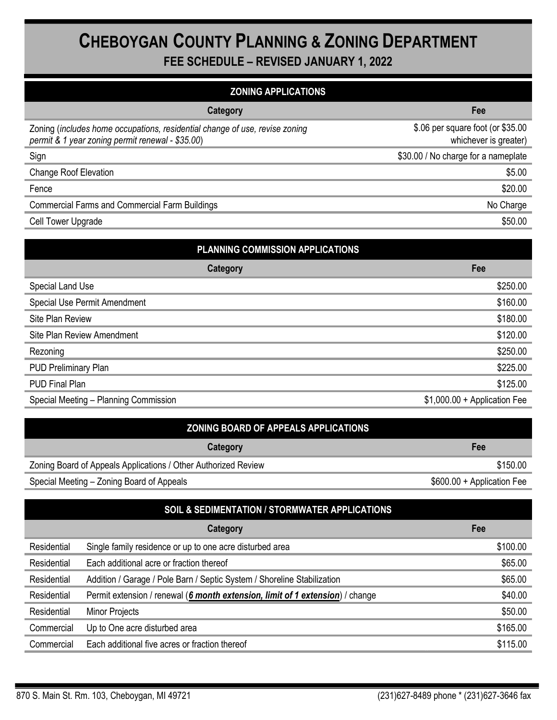## CHEBOYGAN COUNTY PLANNING & ZONING DEPARTMENT

FEE SCHEDULE – REVISED JANUARY 1, 2022

| <b>ZONING APPLICATIONS</b>                                                                                                      |                                                            |  |
|---------------------------------------------------------------------------------------------------------------------------------|------------------------------------------------------------|--|
| Category                                                                                                                        | Fee                                                        |  |
| Zoning (includes home occupations, residential change of use, revise zoning<br>permit & 1 year zoning permit renewal - \$35.00) | \$.06 per square foot (or \$35.00<br>whichever is greater) |  |
| Sign                                                                                                                            | \$30.00 / No charge for a nameplate                        |  |
| <b>Change Roof Elevation</b>                                                                                                    | \$5.00                                                     |  |
| Fence                                                                                                                           | \$20.00                                                    |  |
| <b>Commercial Farms and Commercial Farm Buildings</b>                                                                           | No Charge                                                  |  |
| Cell Tower Upgrade                                                                                                              | \$50.00                                                    |  |

| PLANNING COMMISSION APPLICATIONS      |                              |  |
|---------------------------------------|------------------------------|--|
| <b>Category</b>                       | Fee                          |  |
| Special Land Use                      | \$250.00                     |  |
| Special Use Permit Amendment          | \$160.00                     |  |
| Site Plan Review                      | \$180.00                     |  |
| Site Plan Review Amendment            | \$120.00                     |  |
| Rezoning                              | \$250.00                     |  |
| <b>PUD Preliminary Plan</b>           | \$225.00                     |  |
| <b>PUD Final Plan</b>                 | \$125.00                     |  |
| Special Meeting - Planning Commission | $$1,000.00 + Application Fe$ |  |

| <b>ZONING BOARD OF APPEALS APPLICATIONS</b>                    |                            |
|----------------------------------------------------------------|----------------------------|
| Category                                                       | Fee                        |
| Zoning Board of Appeals Applications / Other Authorized Review | \$150.00                   |
| Special Meeting – Zoning Board of Appeals                      | \$600.00 + Application Fee |

| SOIL & SEDIMENTATION / STORMWATER APPLICATIONS |                                                                               |          |  |  |
|------------------------------------------------|-------------------------------------------------------------------------------|----------|--|--|
|                                                | Category                                                                      | Fee      |  |  |
| Residential                                    | Single family residence or up to one acre disturbed area                      | \$100.00 |  |  |
| Residential                                    | Each additional acre or fraction thereof                                      | \$65.00  |  |  |
| Residential                                    | Addition / Garage / Pole Barn / Septic System / Shoreline Stabilization       | \$65.00  |  |  |
| Residential                                    | Permit extension / renewal (6 month extension, limit of 1 extension) / change | \$40.00  |  |  |
| Residential                                    | Minor Projects                                                                | \$50.00  |  |  |
| Commercial                                     | Up to One acre disturbed area                                                 | \$165.00 |  |  |
| Commercial                                     | Each additional five acres or fraction thereof                                | \$115.00 |  |  |